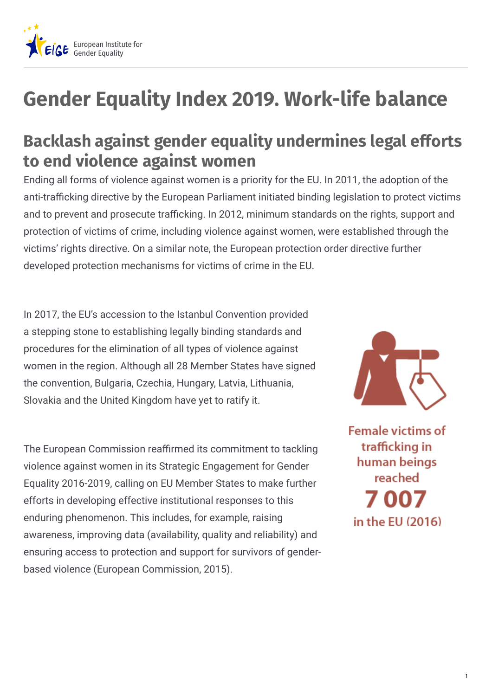

## **Gender Equality Index 2019. Work-life balance**

## **Backlash against gender equality undermines legal efforts to end violence against women**

Ending all forms of violence against women is a priority for the EU. In 2011, the adoption of the anti-trafficking directive by the European Parliament initiated binding legislation to protect victims and to prevent and prosecute trafficking. In 2012, minimum standards on the rights, support and protection of victims of crime, including violence against women, were established through the victims' rights directive. On a similar note, the European protection order directive further developed protection mechanisms for victims of crime in the EU.

In 2017, the EU's accession to the Istanbul Convention provided a stepping stone to establishing legally binding standards and procedures for the elimination of all types of violence against women in the region. Although all 28 Member States have signed the convention, Bulgaria, Czechia, Hungary, Latvia, Lithuania, Slovakia and the United Kingdom have yet to ratify it.

The European Commission reaffirmed its commitment to tackling violence against women in its Strategic Engagement for Gender Equality 2016-2019, calling on EU Member States to make further efforts in developing effective institutional responses to this enduring phenomenon. This includes, for example, raising awareness, improving data (availability, quality and reliability) and ensuring access to protection and support for survivors of genderbased violence (European Commission, 2015).



**Female victims of** trafficking in human beings reached 7 007 in the FU (2016)